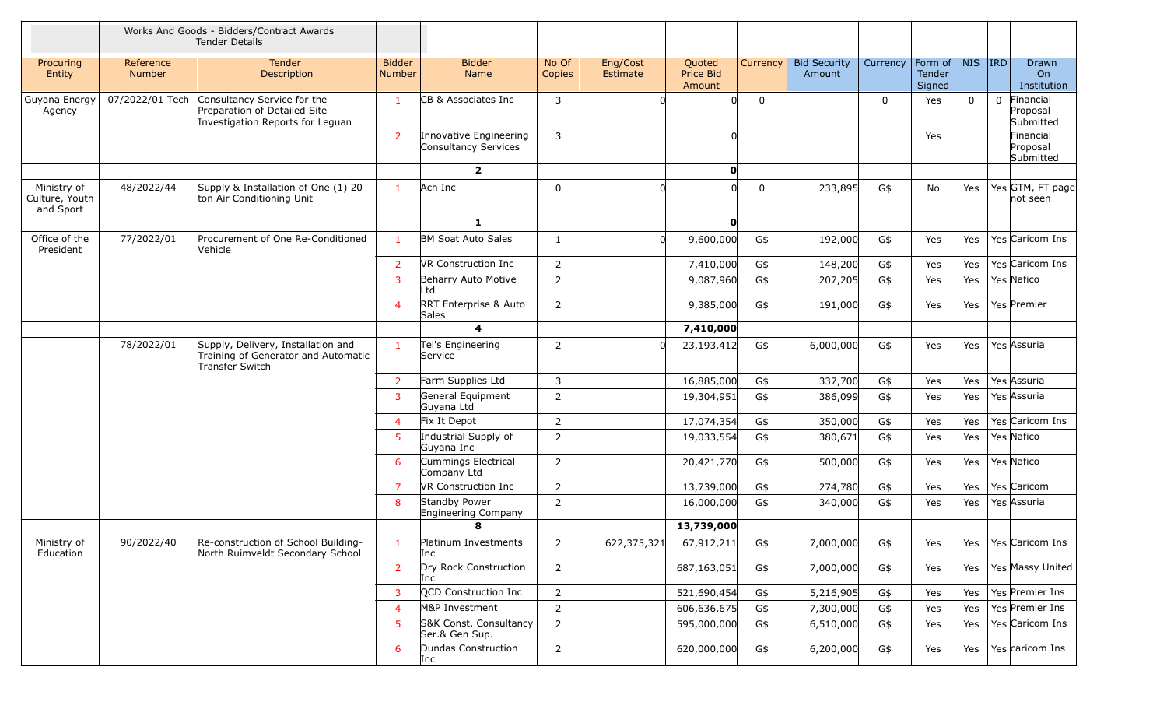|                                            |                            | Works And Goods - Bidders/Contract Awards<br>Tender Details                                     |                                |                                                |                 |                      |                               |              |                               |             |                             |             |            |                                      |
|--------------------------------------------|----------------------------|-------------------------------------------------------------------------------------------------|--------------------------------|------------------------------------------------|-----------------|----------------------|-------------------------------|--------------|-------------------------------|-------------|-----------------------------|-------------|------------|--------------------------------------|
| Procuring<br>Entity                        | Reference<br><b>Number</b> | Tender<br>Description                                                                           | <b>Bidder</b><br><b>Number</b> | <b>Bidder</b><br>Name                          | No Of<br>Copies | Eng/Cost<br>Estimate | Quoted<br>Price Bid<br>Amount | Currency     | <b>Bid Security</b><br>Amount | Currency    | Form of<br>Tender<br>Signed | <b>NIS</b>  | <b>IRD</b> | Drawn<br>On<br>Institution           |
| Guyana Energy<br>Agency                    | 07/2022/01 Tech            | Consultancy Service for the<br>Preparation of Detailed Site<br>Investigation Reports for Leguan | 1                              | CB & Associates Inc                            | 3               |                      |                               | $\mathbf{0}$ |                               | $\mathbf 0$ | Yes                         | $\mathbf 0$ |            | 0 Financial<br>Proposal<br>Submitted |
|                                            |                            |                                                                                                 | $\overline{2}$                 | Innovative Engineering<br>Consultancy Services | 3               |                      |                               |              |                               |             | Yes                         |             |            | Financial<br>Proposal<br>Submitted   |
|                                            |                            |                                                                                                 |                                | $\overline{2}$                                 |                 |                      | $\mathbf{0}$                  |              |                               |             |                             |             |            |                                      |
| Ministry of<br>Culture, Youth<br>and Sport | 48/2022/44                 | Supply & Installation of One (1) 20<br>ton Air Conditioning Unit                                | $\mathbf{1}$                   | Ach Inc                                        | 0               |                      |                               | 0            | 233,895                       | G\$         | No                          | Yes         |            | Yes GTM, FT page<br>not seen         |
|                                            |                            |                                                                                                 |                                | $\mathbf{1}$                                   |                 |                      | $\mathbf{0}$                  |              |                               |             |                             |             |            |                                      |
| Office of the<br>President                 | 77/2022/01                 | Procurement of One Re-Conditioned<br>Vehicle                                                    | $\mathbf{1}$                   | <b>BM Soat Auto Sales</b>                      | 1               |                      | 9,600,000                     | G\$          | 192,000                       | G\$         | Yes                         | Yes         |            | Yes Caricom Ins                      |
|                                            |                            |                                                                                                 | -2                             | <b>VR Construction Inc</b>                     | $\overline{2}$  |                      | 7,410,000                     | G\$          | 148,200                       | G\$         | Yes                         | Yes         |            | Yes Caricom Ins                      |
|                                            |                            |                                                                                                 | 3                              | Beharry Auto Motive<br>Ltd                     | $\overline{2}$  |                      | 9,087,960                     | G\$          | 207,205                       | G\$         | Yes                         | Yes         |            | Yes Nafico                           |
|                                            |                            |                                                                                                 | $\overline{4}$                 | RRT Enterprise & Auto<br>Sales                 | $\overline{2}$  |                      | 9,385,000                     | G\$          | 191,000                       | G\$         | Yes                         | Yes         |            | Yes Premier                          |
|                                            |                            |                                                                                                 |                                | 4                                              |                 |                      | 7,410,000                     |              |                               |             |                             |             |            |                                      |
|                                            | 78/2022/01                 | Supply, Delivery, Installation and<br>Training of Generator and Automatic<br>Transfer Switch    | $\mathbf{1}$                   | Tel's Engineering<br>Service                   | $\overline{2}$  |                      | 23,193,412                    | G\$          | 6,000,000                     | G\$         | Yes                         | <b>Yes</b>  |            | Yes Assuria                          |
|                                            |                            |                                                                                                 | $\overline{2}$                 | Farm Supplies Ltd                              | 3               |                      | 16,885,000                    | G\$          | 337,700                       | G\$         | Yes                         | <b>Yes</b>  |            | Yes Assuria                          |
|                                            |                            |                                                                                                 | 3                              | General Equipment<br>Guyana Ltd                | $\overline{2}$  |                      | 19,304,951                    | G\$          | 386,099                       | G\$         | Yes                         | Yes         |            | Yes Assuria                          |
|                                            |                            |                                                                                                 | $\overline{4}$                 | Fix It Depot                                   | $\overline{2}$  |                      | 17,074,354                    | G\$          | 350,000                       | G\$         | Yes                         | Yes         |            | Yes Caricom Ins                      |
|                                            |                            |                                                                                                 | 5                              | Industrial Supply of<br>Guyana Inc             | $\overline{2}$  |                      | 19,033,554                    | G\$          | 380,671                       | G\$         | Yes                         | Yes         |            | Yes Nafico                           |
|                                            |                            |                                                                                                 | 6                              | Cummings Electrical<br>Company Ltd             | 2               |                      | 20,421,770                    | G\$          | 500,000                       | G\$         | Yes                         | Yes         |            | Yes Nafico                           |
|                                            |                            |                                                                                                 | 7                              | VR Construction Inc                            | $\overline{2}$  |                      | 13,739,000                    | G\$          | 274,780                       | G\$         | Yes                         | Yes         |            | Yes Caricom                          |
|                                            |                            |                                                                                                 | 8                              | Standby Power<br><b>Engineering Company</b>    | $\overline{2}$  |                      | 16,000,000                    | G\$          | 340,000                       | G\$         | Yes                         | Yes         |            | Yes Assuria                          |
|                                            |                            |                                                                                                 |                                | 8                                              |                 |                      | 13,739,000                    |              |                               |             |                             |             |            |                                      |
| Ministry of<br>Education                   | 90/2022/40                 | Re-construction of School Building-<br>North Ruimveldt Secondary School                         | 1                              | Platinum Investments<br>Inc                    | 2               | 622,375,321          | 67,912,211                    | G\$          | 7,000,000                     | G\$         | Yes                         |             |            | Yes   Yes   Caricom Ins              |
|                                            |                            |                                                                                                 | $\overline{2}$                 | Dry Rock Construction<br>Inc                   | $\overline{2}$  |                      | 687,163,051                   | G\$          | 7,000,000                     | G\$         | Yes                         | Yes         |            | Yes Massy United                     |
|                                            |                            |                                                                                                 | $\overline{3}$                 | QCD Construction Inc                           | $\overline{2}$  |                      | 521,690,454                   | G\$          | 5,216,905                     | G\$         | Yes                         | Yes         |            | Yes Premier Ins                      |
|                                            |                            |                                                                                                 | $\overline{4}$                 | M&P Investment                                 | $\overline{2}$  |                      | 606,636,675                   | G\$          | 7,300,000                     | G\$         | Yes                         | Yes         |            | Yes Premier Ins                      |
|                                            |                            |                                                                                                 | 5                              | S&K Const. Consultancy<br>Ser.& Gen Sup.       | $\overline{2}$  |                      | 595,000,000                   | G\$          | 6,510,000                     | G\$         | Yes                         | Yes         |            | Yes Caricom Ins                      |
|                                            |                            |                                                                                                 | 6                              | Dundas Construction<br>Inc                     | $\overline{2}$  |                      | 620,000,000                   | G\$          | 6,200,000                     | G\$         | Yes                         | Yes         |            | Yes caricom Ins                      |